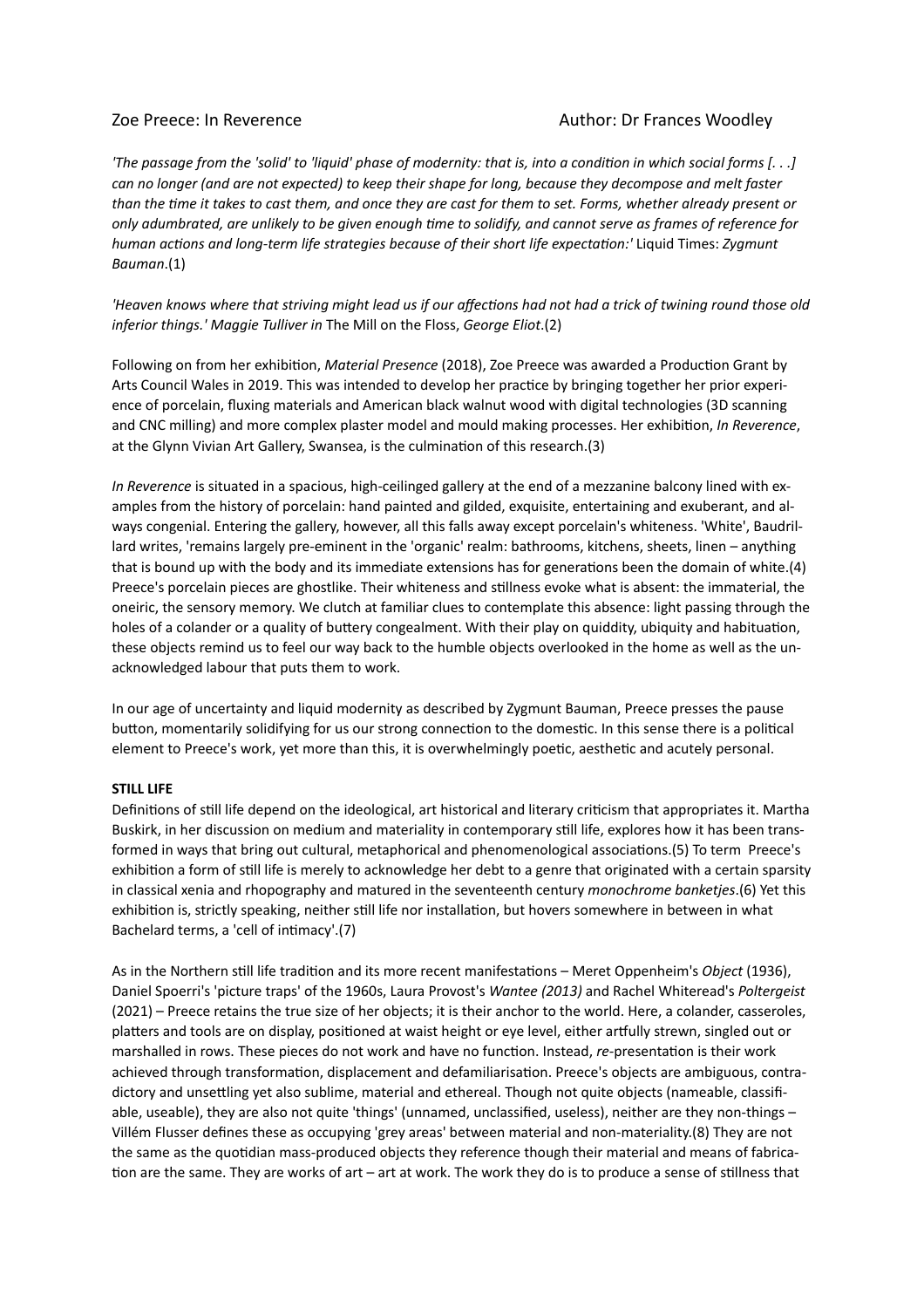# Zoe Preece: In Reverence Author: Dr Frances Woodley

*'The passage from the 'solid' to 'liquid' phase of modernity: that is, into a condition in which social forms [. . .] can no longer (and are not expected) to keep their shape for long, because they decompose and melt faster than the time it takes to cast them, and once they are cast for them to set. Forms, whether already present or only adumbrated, are unlikely to be given enough time to solidify, and cannot serve as frames of reference for human actions and long-term life strategies because of their short life expectation:'* Liquid Times: *Zygmunt Bauman*.(1)

*'Heaven knows where that striving might lead us if our affections had not had a trick of twining round those old inferior things.' Maggie Tulliver in* The Mill on the Floss, *George Eliot*.(2)

Following on from her exhibition, *Material Presence* (2018), Zoe Preece was awarded a Production Grant by Arts Council Wales in 2019. This was intended to develop her practice by bringing together her prior experience of porcelain, fluxing materials and American black walnut wood with digital technologies (3D scanning and CNC milling) and more complex plaster model and mould making processes. Her exhibition, *In Reverence*, at the Glynn Vivian Art Gallery, Swansea, is the culmination of this research.(3)

*In Reverence* is situated in a spacious, high-ceilinged gallery at the end of a mezzanine balcony lined with examples from the history of porcelain: hand painted and gilded, exquisite, entertaining and exuberant, and always congenial. Entering the gallery, however, all this falls away except porcelain's whiteness. 'White', Baudrillard writes, 'remains largely pre-eminent in the 'organic' realm: bathrooms, kitchens, sheets, linen – anything that is bound up with the body and its immediate extensions has for generations been the domain of white.(4) Preece's porcelain pieces are ghostlike. Their whiteness and stillness evoke what is absent: the immaterial, the oneiric, the sensory memory. We clutch at familiar clues to contemplate this absence: light passing through the holes of a colander or a quality of buttery congealment. With their play on quiddity, ubiquity and habituation, these objects remind us to feel our way back to the humble objects overlooked in the home as well as the unacknowledged labour that puts them to work.

In our age of uncertainty and liquid modernity as described by Zygmunt Bauman, Preece presses the pause button, momentarily solidifying for us our strong connection to the domestic. In this sense there is a political element to Preece's work, yet more than this, it is overwhelmingly poetic, aesthetic and acutely personal.

## **STILL LIFE**

Definitions of still life depend on the ideological, art historical and literary criticism that appropriates it. Martha Buskirk, in her discussion on medium and materiality in contemporary still life, explores how it has been transformed in ways that bring out cultural, metaphorical and phenomenological associations.(5) To term Preece's exhibition a form of still life is merely to acknowledge her debt to a genre that originated with a certain sparsity in classical xenia and rhopography and matured in the seventeenth century *monochrome banketjes*.(6) Yet this exhibition is, strictly speaking, neither still life nor installation, but hovers somewhere in between in what Bachelard terms, a 'cell of intimacy'.(7)

As in the Northern still life tradition and its more recent manifestations – Meret Oppenheim's *Object* (1936), Daniel Spoerri's 'picture traps' of the 1960s, Laura Provost's *Wantee (2013)* and Rachel Whiteread's *Poltergeist*  (2021) – Preece retains the true size of her objects; it is their anchor to the world. Here, a colander, casseroles, platters and tools are on display, positioned at waist height or eye level, either artfully strewn, singled out or marshalled in rows. These pieces do not work and have no function. Instead, *re-*presentation is their work achieved through transformation, displacement and defamiliarisation. Preece's objects are ambiguous, contradictory and unsettling yet also sublime, material and ethereal. Though not quite objects (nameable, classifable, useable), they are also not quite 'things' (unnamed, unclassified, useless), neither are they non-things – Villém Flusser defines these as occupying 'grey areas' between material and non-materiality.(8) They are not the same as the quotidian mass-produced objects they reference though their material and means of fabrication are the same. They are works of art – art at work. The work they do is to produce a sense of stillness that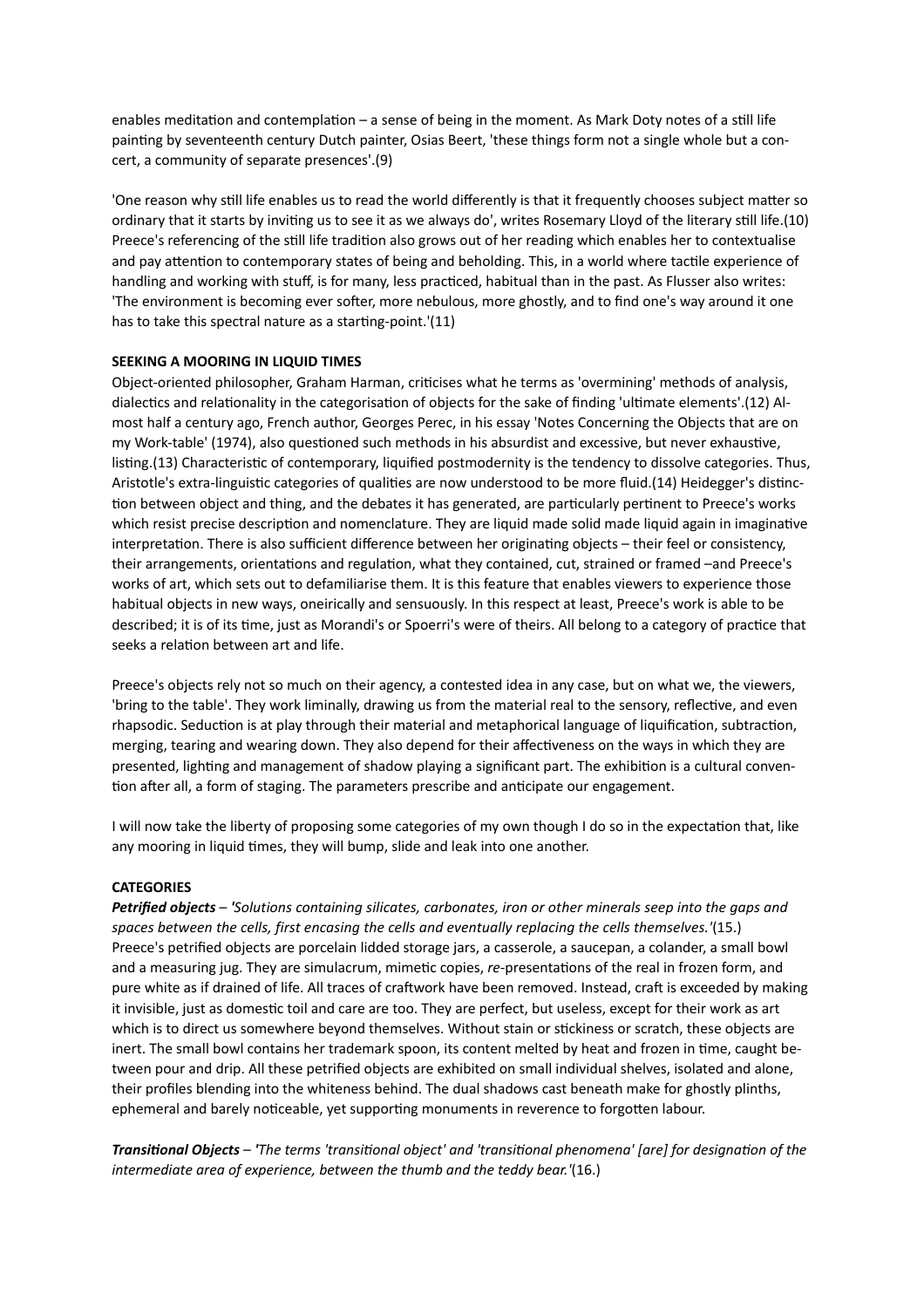enables meditation and contemplation – a sense of being in the moment. As Mark Doty notes of a still life painting by seventeenth century Dutch painter, Osias Beert, 'these things form not a single whole but a concert, a community of separate presences'.(9)

'One reason why still life enables us to read the world differently is that it frequently chooses subject matter so ordinary that it starts by inviting us to see it as we always do', writes Rosemary Lloyd of the literary still life.(10) Preece's referencing of the still life tradition also grows out of her reading which enables her to contextualise and pay attention to contemporary states of being and beholding. This, in a world where tactile experience of handling and working with stuff, is for many, less practiced, habitual than in the past. As Flusser also writes: 'The environment is becoming ever softer, more nebulous, more ghostly, and to find one's way around it one has to take this spectral nature as a starting-point.'(11)

## **SEEKING A MOORING IN LIQUID TIMES**

Object-oriented philosopher, Graham Harman, criticises what he terms as 'overmining' methods of analysis, dialectics and relationality in the categorisation of objects for the sake of finding 'ultimate elements'.(12) Almost half a century ago, French author, Georges Perec, in his essay 'Notes Concerning the Objects that are on my Work-table' (1974), also questioned such methods in his absurdist and excessive, but never exhaustive, listing.(13) Characteristic of contemporary, liquified postmodernity is the tendency to dissolve categories. Thus, Aristotle's extra-linguistic categories of qualities are now understood to be more fluid.(14) Heidegger's distinction between object and thing, and the debates it has generated, are particularly pertinent to Preece's works which resist precise description and nomenclature. They are liquid made solid made liquid again in imaginative interpretation. There is also sufficient difference between her originating objects – their feel or consistency, their arrangements, orientations and regulation, what they contained, cut, strained or framed –and Preece's works of art, which sets out to defamiliarise them. It is this feature that enables viewers to experience those habitual objects in new ways, oneirically and sensuously. In this respect at least, Preece's work is able to be described; it is of its time, just as Morandi's or Spoerri's were of theirs. All belong to a category of practice that seeks a relation between art and life.

Preece's objects rely not so much on their agency, a contested idea in any case, but on what we, the viewers, 'bring to the table'. They work liminally, drawing us from the material real to the sensory, reflective, and even rhapsodic. Seduction is at play through their material and metaphorical language of liquification, subtraction, merging, tearing and wearing down. They also depend for their affectiveness on the ways in which they are presented, lighting and management of shadow playing a significant part. The exhibition is a cultural convention after all, a form of staging. The parameters prescribe and anticipate our engagement.

I will now take the liberty of proposing some categories of my own though I do so in the expectation that, like any mooring in liquid times, they will bump, slide and leak into one another.

## **CATEGORIES**

*Petrified objects* – *'Solutions containing silicates, carbonates, iron or other minerals seep into the gaps and spaces between the cells, first encasing the cells and eventually replacing the cells themselves.'*(15.) Preece's petrified objects are porcelain lidded storage jars, a casserole, a saucepan, a colander, a small bowl and a measuring jug. They are simulacrum, mimetic copies, *re-*presentations of the real in frozen form, and pure white as if drained of life. All traces of craftwork have been removed. Instead, craft is exceeded by making it invisible, just as domestic toil and care are too. They are perfect, but useless, except for their work as art which is to direct us somewhere beyond themselves. Without stain or stickiness or scratch, these objects are inert. The small bowl contains her trademark spoon, its content melted by heat and frozen in time, caught between pour and drip. All these petrified objects are exhibited on small individual shelves, isolated and alone, their profiles blending into the whiteness behind. The dual shadows cast beneath make for ghostly plinths, ephemeral and barely noticeable, yet supporting monuments in reverence to forgotten labour.

*Transitional Objects* – *'The terms 'transitional object' and 'transitional phenomena' [are] for designation of the intermediate area of experience, between the thumb and the teddy bear.'*(16.)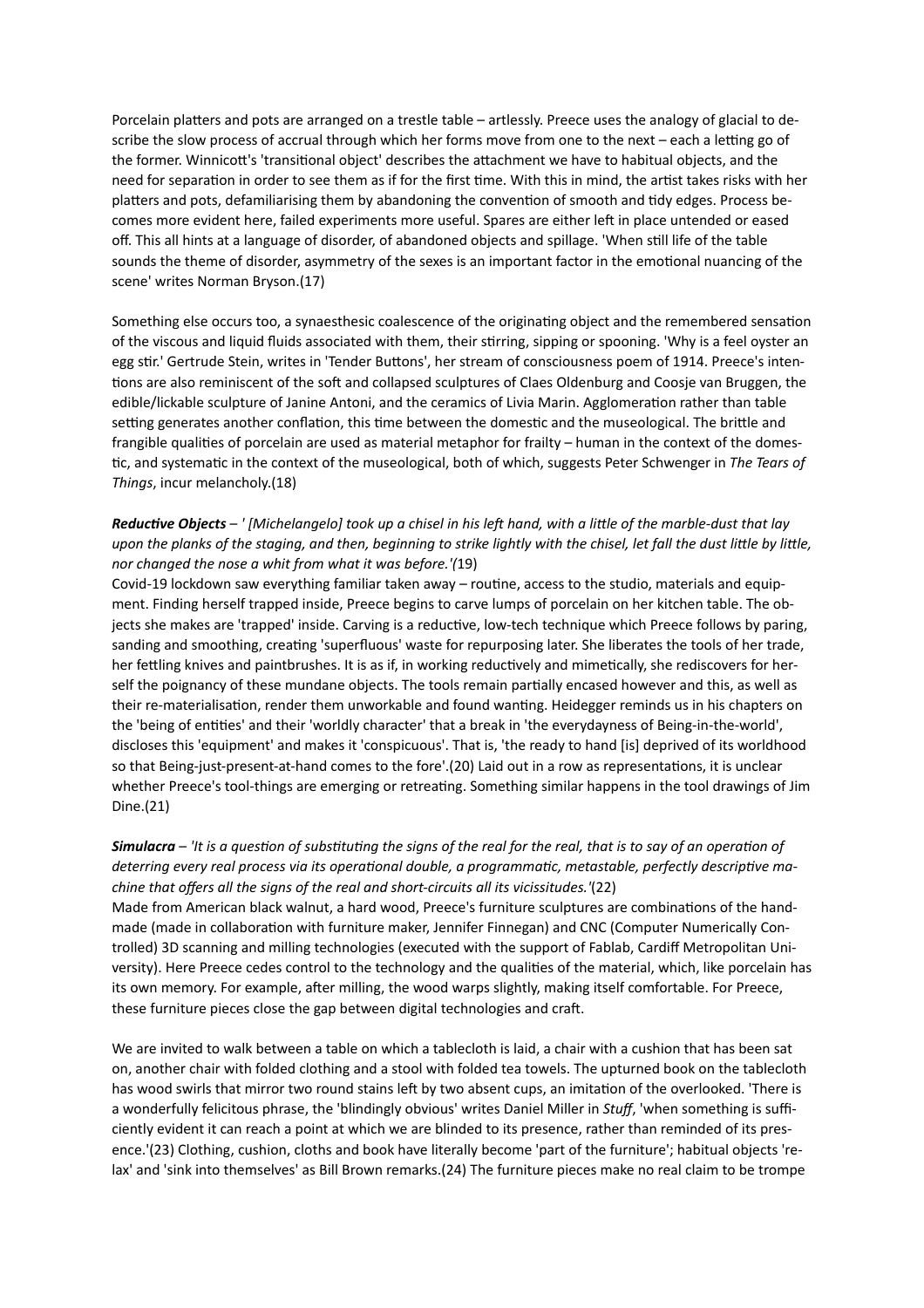Porcelain platters and pots are arranged on a trestle table – artlessly. Preece uses the analogy of glacial to describe the slow process of accrual through which her forms move from one to the next – each a letting go of the former. Winnicott's 'transitional object' describes the attachment we have to habitual objects, and the need for separation in order to see them as if for the first time. With this in mind, the artist takes risks with her platters and pots, defamiliarising them by abandoning the convention of smooth and tidy edges. Process becomes more evident here, failed experiments more useful. Spares are either left in place untended or eased off. This all hints at a language of disorder, of abandoned objects and spillage. 'When still life of the table sounds the theme of disorder, asymmetry of the sexes is an important factor in the emotional nuancing of the scene' writes Norman Bryson.(17)

Something else occurs too, a synaesthesic coalescence of the originating object and the remembered sensation of the viscous and liquid fluids associated with them, their stirring, sipping or spooning. 'Why is a feel oyster an egg stir.' Gertrude Stein, writes in 'Tender Buttons', her stream of consciousness poem of 1914. Preece's intentions are also reminiscent of the soft and collapsed sculptures of Claes Oldenburg and Coosje van Bruggen, the edible/lickable sculpture of Janine Antoni, and the ceramics of Livia Marin. Agglomeration rather than table setting generates another conflation, this time between the domestic and the museological. The brittle and frangible qualities of porcelain are used as material metaphor for frailty – human in the context of the domestic, and systematic in the context of the museological, both of which, suggests Peter Schwenger in *The Tears of Things*, incur melancholy.(18)

# *Reductive Objects* – *' [Michelangelo] took up a chisel in his left hand, with a little of the marble-dust that lay upon the planks of the staging, and then, beginning to strike lightly with the chisel, let fall the dust little by little, nor changed the nose a whit from what it was before.'(*19)

Covid-19 lockdown saw everything familiar taken away – routine, access to the studio, materials and equipment. Finding herself trapped inside, Preece begins to carve lumps of porcelain on her kitchen table. The objects she makes are 'trapped' inside. Carving is a reductive, low-tech technique which Preece follows by paring, sanding and smoothing, creating 'superfluous' waste for repurposing later. She liberates the tools of her trade, her fettling knives and paintbrushes. It is as if, in working reductively and mimetically, she rediscovers for herself the poignancy of these mundane objects. The tools remain partially encased however and this, as well as their re-materialisation, render them unworkable and found wanting. Heidegger reminds us in his chapters on the 'being of entities' and their 'worldly character' that a break in 'the everydayness of Being-in-the-world', discloses this 'equipment' and makes it 'conspicuous'. That is, 'the ready to hand [is] deprived of its worldhood so that Being-just-present-at-hand comes to the fore'.(20) Laid out in a row as representations, it is unclear whether Preece's tool-things are emerging or retreating. Something similar happens in the tool drawings of Jim Dine.(21)

## *Simulacra* – *'It is a question of substituting the signs of the real for the real, that is to say of an operation of deterring every real process via its operational double, a programmatic, metastable, perfectly descriptive machine that offers all the signs of the real and short-circuits all its vicissitudes.'*(22)

Made from American black walnut, a hard wood, Preece's furniture sculptures are combinations of the handmade (made in collaboration with furniture maker, Jennifer Finnegan) and CNC (Computer Numerically Controlled) 3D scanning and milling technologies (executed with the support of Fablab, Cardiff Metropolitan University). Here Preece cedes control to the technology and the qualities of the material, which, like porcelain has its own memory. For example, after milling, the wood warps slightly, making itself comfortable. For Preece, these furniture pieces close the gap between digital technologies and craft.

We are invited to walk between a table on which a tablecloth is laid, a chair with a cushion that has been sat on, another chair with folded clothing and a stool with folded tea towels. The upturned book on the tablecloth has wood swirls that mirror two round stains left by two absent cups, an imitation of the overlooked. 'There is a wonderfully felicitous phrase, the 'blindingly obvious' writes Daniel Miller in *Stuff*, 'when something is sufficiently evident it can reach a point at which we are blinded to its presence, rather than reminded of its presence.'(23) Clothing, cushion, cloths and book have literally become 'part of the furniture'; habitual objects 'relax' and 'sink into themselves' as Bill Brown remarks.(24) The furniture pieces make no real claim to be trompe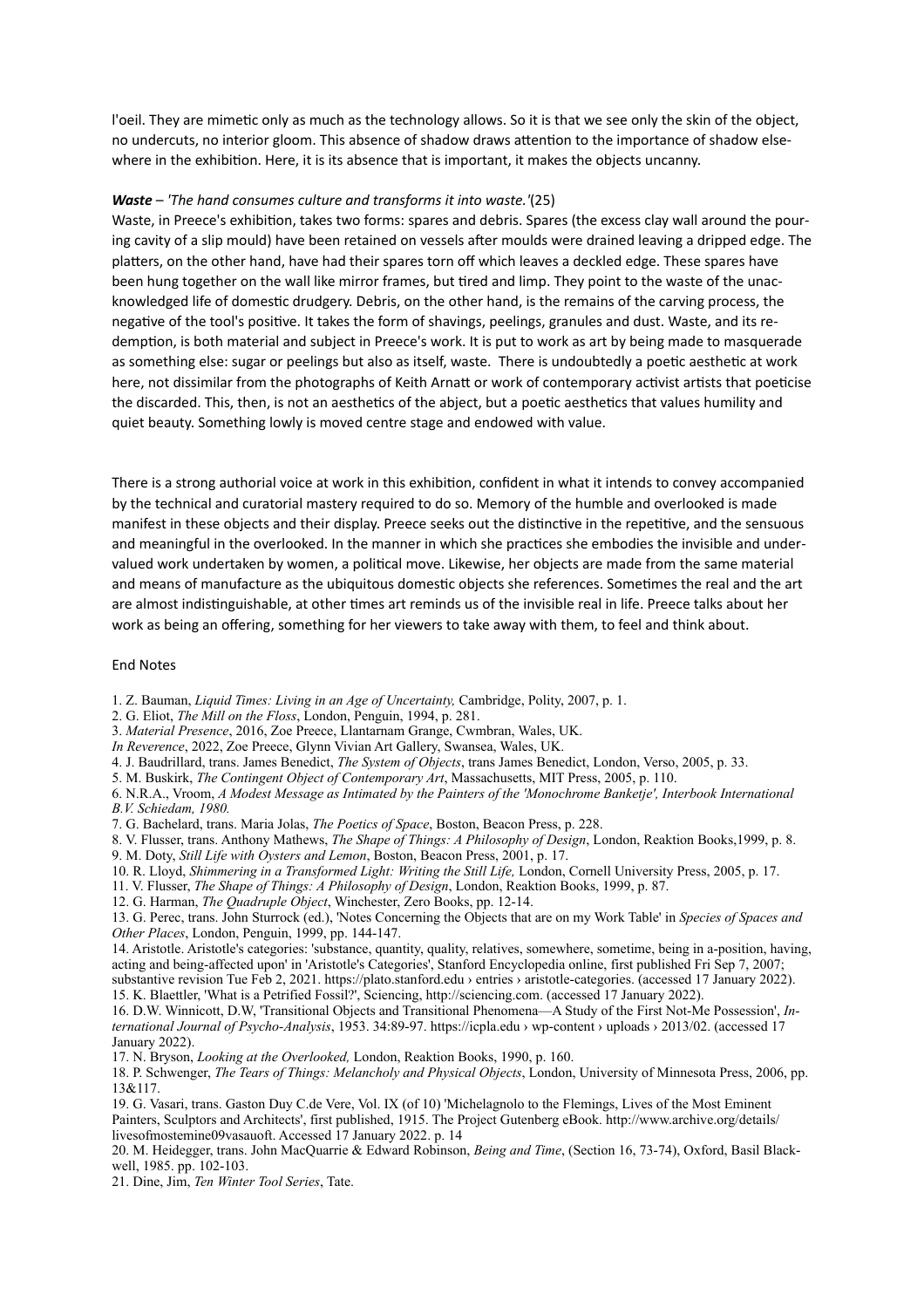l'oeil. They are mimetic only as much as the technology allows. So it is that we see only the skin of the object, no undercuts, no interior gloom. This absence of shadow draws attention to the importance of shadow elsewhere in the exhibition. Here, it is its absence that is important, it makes the objects uncanny.

#### *Waste* – *'The hand consumes culture and transforms it into waste.'*(25)

Waste, in Preece's exhibition, takes two forms: spares and debris. Spares (the excess clay wall around the pouring cavity of a slip mould) have been retained on vessels after moulds were drained leaving a dripped edge. The platters, on the other hand, have had their spares torn off which leaves a deckled edge. These spares have been hung together on the wall like mirror frames, but tired and limp. They point to the waste of the unacknowledged life of domestic drudgery. Debris, on the other hand, is the remains of the carving process, the negative of the tool's positive. It takes the form of shavings, peelings, granules and dust. Waste, and its redemption, is both material and subject in Preece's work. It is put to work as art by being made to masquerade as something else: sugar or peelings but also as itself, waste. There is undoubtedly a poetic aesthetic at work here, not dissimilar from the photographs of Keith Arnatt or work of contemporary activist artists that poeticise the discarded. This, then, is not an aesthetics of the abject, but a poetic aesthetics that values humility and quiet beauty. Something lowly is moved centre stage and endowed with value.

There is a strong authorial voice at work in this exhibition, confident in what it intends to convey accompanied by the technical and curatorial mastery required to do so. Memory of the humble and overlooked is made manifest in these objects and their display. Preece seeks out the distinctive in the repetitive, and the sensuous and meaningful in the overlooked. In the manner in which she practices she embodies the invisible and undervalued work undertaken by women, a political move. Likewise, her objects are made from the same material and means of manufacture as the ubiquitous domestic objects she references. Sometimes the real and the art are almost indistinguishable, at other times art reminds us of the invisible real in life. Preece talks about her work as being an offering, something for her viewers to take away with them, to feel and think about.

#### End Notes

1. Z. Bauman, *Liquid Times: Living in an Age of Uncertainty,* Cambridge, Polity, 2007, p. 1.

- 2. G. Eliot, *The Mill on the Floss*, London, Penguin, 1994, p. 281.
- 3. *Material Presence*, 2016, Zoe Preece, Llantarnam Grange, Cwmbran, Wales, UK.

*In Reverence*, 2022, Zoe Preece, Glynn Vivian Art Gallery, Swansea, Wales, UK.

- 4. J. Baudrillard, trans. James Benedict, *The System of Objects*, trans James Benedict, London, Verso, 2005, p. 33.
- 5. M. Buskirk, *The Contingent Object of Contemporary Art*, Massachusetts, MIT Press, 2005, p. 110.

6. N.R.A., Vroom, *A Modest Message as Intimated by the Painters of the 'Monochrome Banketje', Interbook International B.V. Schiedam, 1980.* 

- 7. G. Bachelard, trans. Maria Jolas, *The Poetics of Space*, Boston, Beacon Press, p. 228.
- 8. V. Flusser, trans. Anthony Mathews, *The Shape of Things: A Philosophy of Design*, London, Reaktion Books,1999, p. 8.
- 9. M. Doty, *Still Life with Oysters and Lemon*, Boston, Beacon Press, 2001, p. 17.
- 10. R. Lloyd, *Shimmering in a Transformed Light: Writing the Still Life,* London, Cornell University Press, 2005, p. 17.
- 11. V. Flusser, *The Shape of Things: A Philosophy of Design*, London, Reaktion Books, 1999, p. 87.
- 12. G. Harman, *The Quadruple Object*, Winchester, Zero Books, pp. 12-14.

13. G. Perec, trans. John Sturrock (ed.), 'Notes Concerning the Objects that are on my Work Table' in *Species of Spaces and Other Places*, London, Penguin, 1999, pp. 144-147.

14. Aristotle. Aristotle's categories: 'substance, quantity, quality, relatives, somewhere, sometime, being in a-position, having, acting and being-affected upon' in 'Aristotle's Categories', Stanford Encyclopedia online, first published Fri Sep 7, 2007; substantive revision Tue Feb 2, 2021. [https://plato.stanford.edu › entries › aristotle-categories. \(accessed 17 January 2022\).](https://plato.stanford.edu/entries/aristotle-categories/)

15. K. Blaettler, 'What is a Petrified Fossil?', Sciencing, http://sciencing.com. (accessed 17 January 2022).

16. D.W. Winnicott, D.W, 'Transitional Objects and Transitional Phenomena—A Study of the First Not-Me Possession', *International Journal of Psycho-Analysis*, 1953. 34:89-97. https://icpla.edu › wp-content › uploads › 2013/02. (accessed 17 January 2022).

17. N. Bryson, *Looking at the Overlooked,* London, Reaktion Books, 1990, p. 160.

18. P. Schwenger, *The Tears of Things: Melancholy and Physical Objects*, London, University of Minnesota Press, 2006, pp. 13&117.

19. G. Vasari, trans. Gaston Duy C.de Vere, Vol. IX (of 10) 'Michelagnolo to the Flemings, Lives of the Most Eminent Painters, Sculptors and Architects', first published, 1915. The Project Gutenberg eBook. [http://www.archive.org/details/](http://www.archive.org/details/livesofmostemine09vasauoft) [livesofmostemine09vasauoft](http://www.archive.org/details/livesofmostemine09vasauoft). Accessed 17 January 2022. p. 14

20. M. Heidegger, trans. John MacQuarrie & Edward Robinson, *Being and Time*, (Section 16, 73-74), Oxford, Basil Blackwell, 1985. pp. 102-103.

21. Dine, Jim, *Ten Winter Tool Series*, Tate.